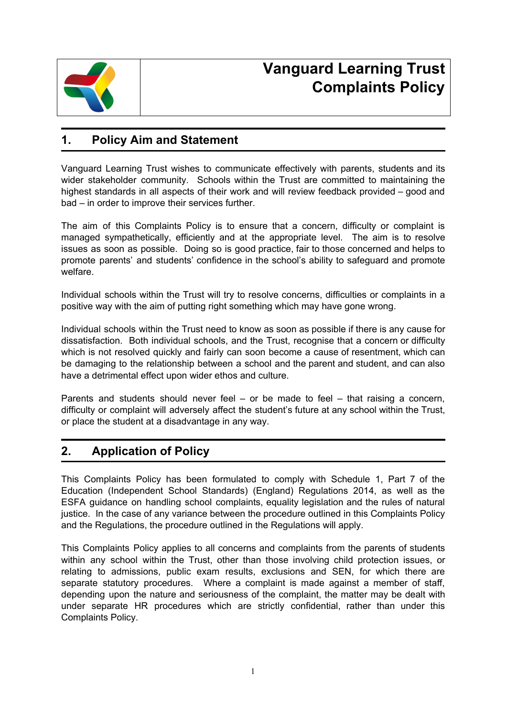

# **Vanguard Learning Trust Complaints Policy**

### **1. Policy Aim and Statement**

Vanguard Learning Trust wishes to communicate effectively with parents, students and its wider stakeholder community. Schools within the Trust are committed to maintaining the highest standards in all aspects of their work and will review feedback provided – good and bad – in order to improve their services further.

The aim of this Complaints Policy is to ensure that a concern, difficulty or complaint is managed sympathetically, efficiently and at the appropriate level. The aim is to resolve issues as soon as possible. Doing so is good practice, fair to those concerned and helps to promote parents' and students' confidence in the school's ability to safeguard and promote welfare.

Individual schools within the Trust will try to resolve concerns, difficulties or complaints in a positive way with the aim of putting right something which may have gone wrong.

Individual schools within the Trust need to know as soon as possible if there is any cause for dissatisfaction. Both individual schools, and the Trust, recognise that a concern or difficulty which is not resolved quickly and fairly can soon become a cause of resentment, which can be damaging to the relationship between a school and the parent and student, and can also have a detrimental effect upon wider ethos and culture.

Parents and students should never feel – or be made to feel – that raising a concern, difficulty or complaint will adversely affect the student's future at any school within the Trust, or place the student at a disadvantage in any way.

### **2. Application of Policy**

This Complaints Policy has been formulated to comply with Schedule 1, Part 7 of the Education (Independent School Standards) (England) Regulations 2014, as well as the ESFA guidance on handling school complaints, equality legislation and the rules of natural justice. In the case of any variance between the procedure outlined in this Complaints Policy and the Regulations, the procedure outlined in the Regulations will apply.

This Complaints Policy applies to all concerns and complaints from the parents of students within any school within the Trust, other than those involving child protection issues, or relating to admissions, public exam results, exclusions and SEN, for which there are separate statutory procedures. Where a complaint is made against a member of staff, depending upon the nature and seriousness of the complaint, the matter may be dealt with under separate HR procedures which are strictly confidential, rather than under this Complaints Policy.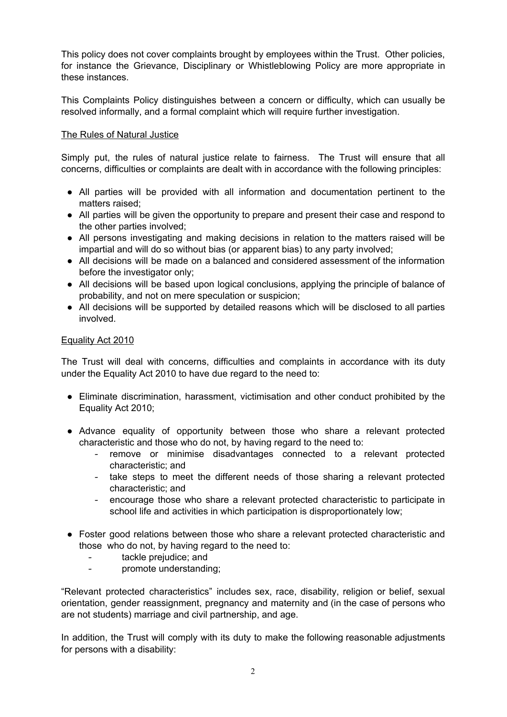This policy does not cover complaints brought by employees within the Trust. Other policies, for instance the Grievance, Disciplinary or Whistleblowing Policy are more appropriate in these instances.

This Complaints Policy distinguishes between a concern or difficulty, which can usually be resolved informally, and a formal complaint which will require further investigation.

#### The Rules of Natural Justice

Simply put, the rules of natural justice relate to fairness. The Trust will ensure that all concerns, difficulties or complaints are dealt with in accordance with the following principles:

- All parties will be provided with all information and documentation pertinent to the matters raised;
- All parties will be given the opportunity to prepare and present their case and respond to the other parties involved;
- All persons investigating and making decisions in relation to the matters raised will be impartial and will do so without bias (or apparent bias) to any party involved;
- All decisions will be made on a balanced and considered assessment of the information before the investigator only;
- All decisions will be based upon logical conclusions, applying the principle of balance of probability, and not on mere speculation or suspicion;
- All decisions will be supported by detailed reasons which will be disclosed to all parties involved.

#### Equality Act 2010

The Trust will deal with concerns, difficulties and complaints in accordance with its duty under the Equality Act 2010 to have due regard to the need to:

- Eliminate discrimination, harassment, victimisation and other conduct prohibited by the Equality Act 2010;
- Advance equality of opportunity between those who share a relevant protected characteristic and those who do not, by having regard to the need to:
	- remove or minimise disadvantages connected to a relevant protected characteristic; and
	- take steps to meet the different needs of those sharing a relevant protected characteristic; and
	- encourage those who share a relevant protected characteristic to participate in school life and activities in which participation is disproportionately low;
- Foster good relations between those who share a relevant protected characteristic and those who do not, by having regard to the need to:
	- tackle prejudice; and
	- promote understanding;

"Relevant protected characteristics" includes sex, race, disability, religion or belief, sexual orientation, gender reassignment, pregnancy and maternity and (in the case of persons who are not students) marriage and civil partnership, and age.

In addition, the Trust will comply with its duty to make the following reasonable adjustments for persons with a disability: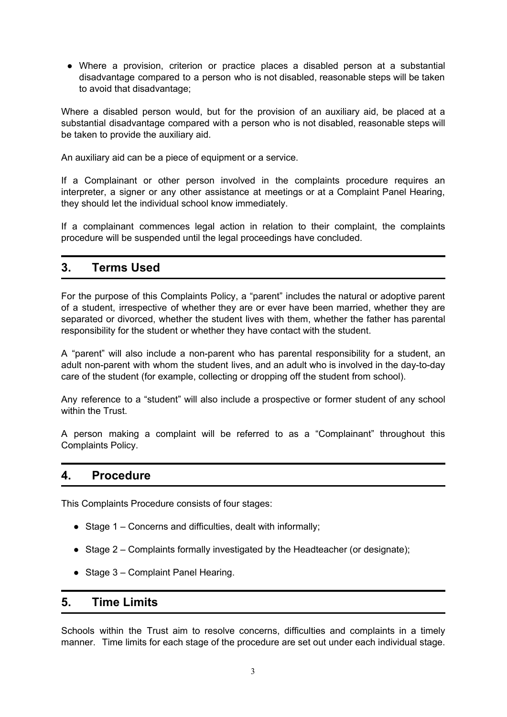● Where a provision, criterion or practice places a disabled person at a substantial disadvantage compared to a person who is not disabled, reasonable steps will be taken to avoid that disadvantage;

Where a disabled person would, but for the provision of an auxiliary aid, be placed at a substantial disadvantage compared with a person who is not disabled, reasonable steps will be taken to provide the auxiliary aid.

An auxiliary aid can be a piece of equipment or a service.

If a Complainant or other person involved in the complaints procedure requires an interpreter, a signer or any other assistance at meetings or at a Complaint Panel Hearing, they should let the individual school know immediately.

If a complainant commences legal action in relation to their complaint, the complaints procedure will be suspended until the legal proceedings have concluded.

### **3. Terms Used**

For the purpose of this Complaints Policy, a "parent" includes the natural or adoptive parent of a student, irrespective of whether they are or ever have been married, whether they are separated or divorced, whether the student lives with them, whether the father has parental responsibility for the student or whether they have contact with the student.

A "parent" will also include a non-parent who has parental responsibility for a student, an adult non-parent with whom the student lives, and an adult who is involved in the day-to-day care of the student (for example, collecting or dropping off the student from school).

Any reference to a "student" will also include a prospective or former student of any school within the Trust.

A person making a complaint will be referred to as a "Complainant" throughout this Complaints Policy.

#### **4. Procedure**

This Complaints Procedure consists of four stages:

- $\bullet$  Stage 1 Concerns and difficulties, dealt with informally;
- Stage 2 Complaints formally investigated by the Headteacher (or designate);
- $\bullet$  Stage 3 Complaint Panel Hearing.

#### **5. Time Limits**

Schools within the Trust aim to resolve concerns, difficulties and complaints in a timely manner. Time limits for each stage of the procedure are set out under each individual stage.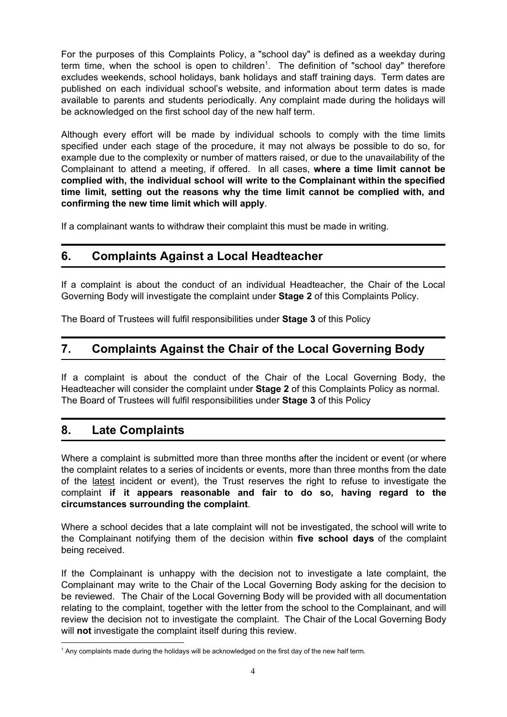For the purposes of this Complaints Policy, a "school day" is defined as a weekday during term time, when the school is open to children<sup>1</sup>. The definition of "school day" therefore excludes weekends, school holidays, bank holidays and staff training days. Term dates are published on each individual school's website, and information about term dates is made available to parents and students periodically. Any complaint made during the holidays will be acknowledged on the first school day of the new half term.

Although every effort will be made by individual schools to comply with the time limits specified under each stage of the procedure, it may not always be possible to do so, for example due to the complexity or number of matters raised, or due to the unavailability of the Complainant to attend a meeting, if offered. In all cases, **where a time limit cannot be complied with, the individual school will write to the Complainant within the specified time limit, setting out the reasons why the time limit cannot be complied with, and confirming the new time limit which will apply**.

If a complainant wants to withdraw their complaint this must be made in writing.

## **6. Complaints Against a Local Headteacher**

If a complaint is about the conduct of an individual Headteacher, the Chair of the Local Governing Body will investigate the complaint under **Stage 2** of this Complaints Policy.

The Board of Trustees will fulfil responsibilities under **Stage 3** of this Policy

### **7. Complaints Against the Chair of the Local Governing Body**

If a complaint is about the conduct of the Chair of the Local Governing Body, the Headteacher will consider the complaint under **Stage 2** of this Complaints Policy as normal. The Board of Trustees will fulfil responsibilities under **Stage 3** of this Policy

### **8. Late Complaints**

Where a complaint is submitted more than three months after the incident or event (or where the complaint relates to a series of incidents or events, more than three months from the date of the latest incident or event), the Trust reserves the right to refuse to investigate the complaint **if it appears reasonable and fair to do so, having regard to the circumstances surrounding the complaint**.

Where a school decides that a late complaint will not be investigated, the school will write to the Complainant notifying them of the decision within **five school days** of the complaint being received.

If the Complainant is unhappy with the decision not to investigate a late complaint, the Complainant may write to the Chair of the Local Governing Body asking for the decision to be reviewed. The Chair of the Local Governing Body will be provided with all documentation relating to the complaint, together with the letter from the school to the Complainant, and will review the decision not to investigate the complaint. The Chair of the Local Governing Body will **not** investigate the complaint itself during this review.

 $<sup>1</sup>$  Any complaints made during the holidays will be acknowledged on the first day of the new half term.</sup>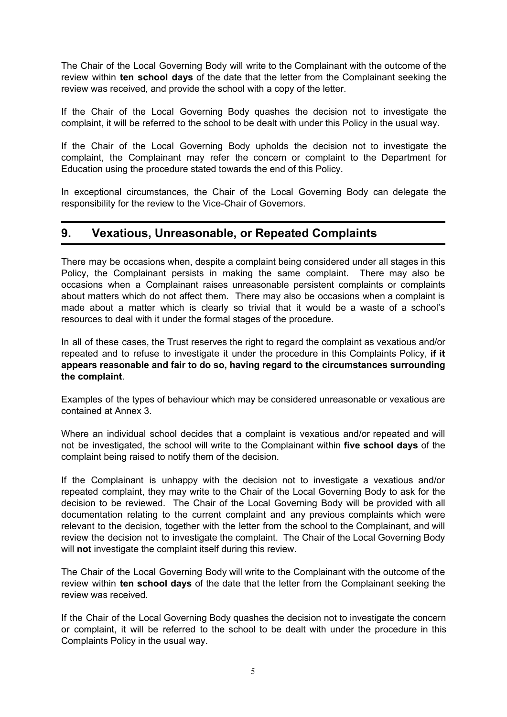The Chair of the Local Governing Body will write to the Complainant with the outcome of the review within **ten school days** of the date that the letter from the Complainant seeking the review was received, and provide the school with a copy of the letter.

If the Chair of the Local Governing Body quashes the decision not to investigate the complaint, it will be referred to the school to be dealt with under this Policy in the usual way.

If the Chair of the Local Governing Body upholds the decision not to investigate the complaint, the Complainant may refer the concern or complaint to the Department for Education using the procedure stated towards the end of this Policy.

In exceptional circumstances, the Chair of the Local Governing Body can delegate the responsibility for the review to the Vice-Chair of Governors.

### **9. Vexatious, Unreasonable, or Repeated Complaints**

There may be occasions when, despite a complaint being considered under all stages in this Policy, the Complainant persists in making the same complaint. There may also be occasions when a Complainant raises unreasonable persistent complaints or complaints about matters which do not affect them. There may also be occasions when a complaint is made about a matter which is clearly so trivial that it would be a waste of a school's resources to deal with it under the formal stages of the procedure.

In all of these cases, the Trust reserves the right to regard the complaint as vexatious and/or repeated and to refuse to investigate it under the procedure in this Complaints Policy, **if it appears reasonable and fair to do so, having regard to the circumstances surrounding the complaint**.

Examples of the types of behaviour which may be considered unreasonable or vexatious are contained at Annex 3.

Where an individual school decides that a complaint is vexatious and/or repeated and will not be investigated, the school will write to the Complainant within **five school days** of the complaint being raised to notify them of the decision.

If the Complainant is unhappy with the decision not to investigate a vexatious and/or repeated complaint, they may write to the Chair of the Local Governing Body to ask for the decision to be reviewed. The Chair of the Local Governing Body will be provided with all documentation relating to the current complaint and any previous complaints which were relevant to the decision, together with the letter from the school to the Complainant, and will review the decision not to investigate the complaint. The Chair of the Local Governing Body will **not** investigate the complaint itself during this review.

The Chair of the Local Governing Body will write to the Complainant with the outcome of the review within **ten school days** of the date that the letter from the Complainant seeking the review was received.

If the Chair of the Local Governing Body quashes the decision not to investigate the concern or complaint, it will be referred to the school to be dealt with under the procedure in this Complaints Policy in the usual way.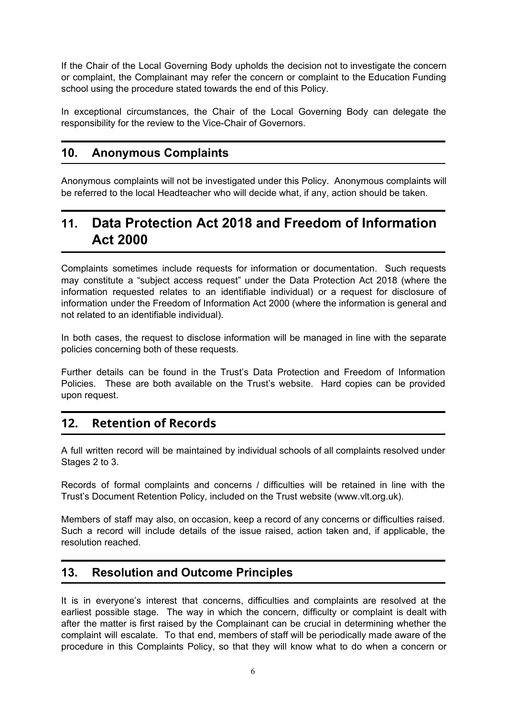If the Chair of the Local Governing Body upholds the decision not to investigate the concern or complaint, the Complainant may refer the concern or complaint to the Education Funding school using the procedure stated towards the end of this Policy.

In exceptional circumstances, the Chair of the Local Governing Body can delegate the responsibility for the review to the Vice-Chair of Governors.

### **10. Anonymous Complaints**

Anonymous complaints will not be investigated under this Policy. Anonymous complaints will be referred to the local Headteacher who will decide what, if any, action should be taken.

# **11. Data Protection Act 2018 and Freedom of Information Act 2000**

Complaints sometimes include requests for information or documentation. Such requests may constitute a "subject access request" under the Data Protection Act 2018 (where the information requested relates to an identifiable individual) or a request for disclosure of information under the Freedom of Information Act 2000 (where the information is general and not related to an identifiable individual).

In both cases, the request to disclose information will be managed in line with the separate policies concerning both of these requests.

Further details can be found in the Trust's Data Protection and Freedom of Information Policies. These are both available on the Trust's website. Hard copies can be provided upon request.

### **12. Retention of Records**

A full written record will be maintained by individual schools of all complaints resolved under Stages 2 to 3.

Records of formal complaints and concerns / difficulties will be retained in line with the Trust's Document Retention Policy, included on the Trust website (www.vlt.org.uk).

Members of staff may also, on occasion, keep a record of any concerns or difficulties raised. Such a record will include details of the issue raised, action taken and, if applicable, the resolution reached.

### **13. Resolution and Outcome Principles**

It is in everyone's interest that concerns, difficulties and complaints are resolved at the earliest possible stage. The way in which the concern, difficulty or complaint is dealt with after the matter is first raised by the Complainant can be crucial in determining whether the complaint will escalate. To that end, members of staff will be periodically made aware of the procedure in this Complaints Policy, so that they will know what to do when a concern or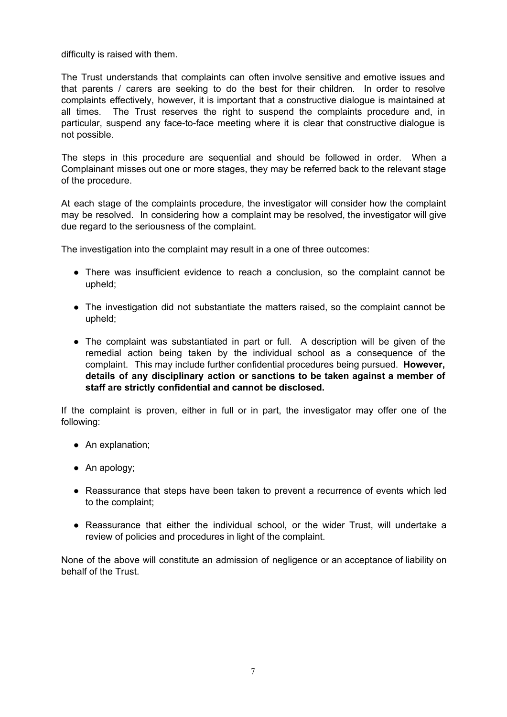difficulty is raised with them.

The Trust understands that complaints can often involve sensitive and emotive issues and that parents / carers are seeking to do the best for their children. In order to resolve complaints effectively, however, it is important that a constructive dialogue is maintained at all times. The Trust reserves the right to suspend the complaints procedure and, in particular, suspend any face-to-face meeting where it is clear that constructive dialogue is not possible.

The steps in this procedure are sequential and should be followed in order. When a Complainant misses out one or more stages, they may be referred back to the relevant stage of the procedure.

At each stage of the complaints procedure, the investigator will consider how the complaint may be resolved. In considering how a complaint may be resolved, the investigator will give due regard to the seriousness of the complaint.

The investigation into the complaint may result in a one of three outcomes:

- There was insufficient evidence to reach a conclusion, so the complaint cannot be upheld;
- The investigation did not substantiate the matters raised, so the complaint cannot be upheld;
- The complaint was substantiated in part or full. A description will be given of the remedial action being taken by the individual school as a consequence of the complaint. This may include further confidential procedures being pursued. **However, details of any disciplinary action or sanctions to be taken against a member of staff are strictly confidential and cannot be disclosed.**

If the complaint is proven, either in full or in part, the investigator may offer one of the following:

- An explanation;
- An apology;
- Reassurance that steps have been taken to prevent a recurrence of events which led to the complaint;
- Reassurance that either the individual school, or the wider Trust, will undertake a review of policies and procedures in light of the complaint.

None of the above will constitute an admission of negligence or an acceptance of liability on behalf of the Trust.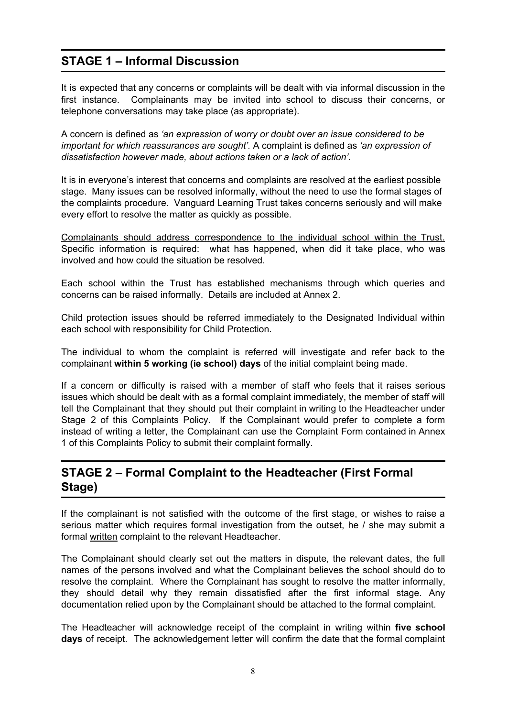# **STAGE 1 – Informal Discussion**

It is expected that any concerns or complaints will be dealt with via informal discussion in the first instance. Complainants may be invited into school to discuss their concerns, or telephone conversations may take place (as appropriate).

A concern is defined as *'an expression of worry or doubt over an issue considered to be important for which reassurances are sought'.* A complaint is defined as *'an expression of dissatisfaction however made, about actions taken or a lack of action'.*

It is in everyone's interest that concerns and complaints are resolved at the earliest possible stage. Many issues can be resolved informally, without the need to use the formal stages of the complaints procedure. Vanguard Learning Trust takes concerns seriously and will make every effort to resolve the matter as quickly as possible.

Complainants should address correspondence to the individual school within the Trust. Specific information is required: what has happened, when did it take place, who was involved and how could the situation be resolved.

Each school within the Trust has established mechanisms through which queries and concerns can be raised informally. Details are included at Annex 2.

Child protection issues should be referred immediately to the Designated Individual within each school with responsibility for Child Protection.

The individual to whom the complaint is referred will investigate and refer back to the complainant **within 5 working (ie school) days** of the initial complaint being made.

If a concern or difficulty is raised with a member of staff who feels that it raises serious issues which should be dealt with as a formal complaint immediately, the member of staff will tell the Complainant that they should put their complaint in writing to the Headteacher under Stage 2 of this Complaints Policy. If the Complainant would prefer to complete a form instead of writing a letter, the Complainant can use the Complaint Form contained in Annex 1 of this Complaints Policy to submit their complaint formally.

### **STAGE 2 – Formal Complaint to the Headteacher (First Formal Stage)**

If the complainant is not satisfied with the outcome of the first stage, or wishes to raise a serious matter which requires formal investigation from the outset, he / she may submit a formal written complaint to the relevant Headteacher.

The Complainant should clearly set out the matters in dispute, the relevant dates, the full names of the persons involved and what the Complainant believes the school should do to resolve the complaint. Where the Complainant has sought to resolve the matter informally, they should detail why they remain dissatisfied after the first informal stage. Any documentation relied upon by the Complainant should be attached to the formal complaint.

The Headteacher will acknowledge receipt of the complaint in writing within **five school days** of receipt. The acknowledgement letter will confirm the date that the formal complaint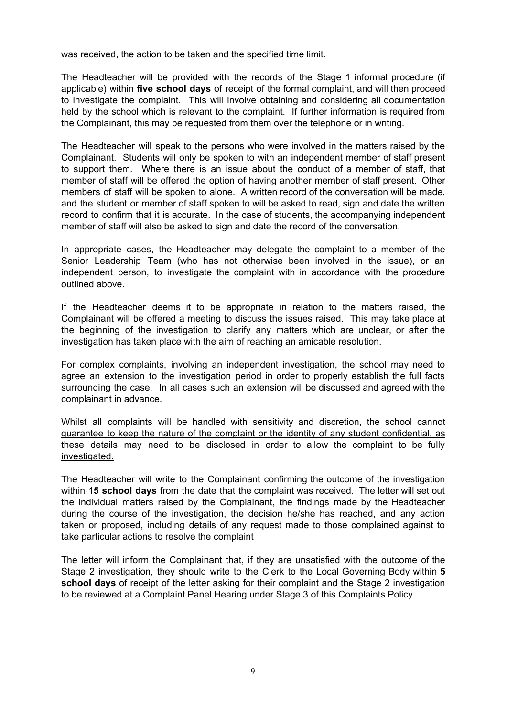was received, the action to be taken and the specified time limit.

The Headteacher will be provided with the records of the Stage 1 informal procedure (if applicable) within **five school days** of receipt of the formal complaint, and will then proceed to investigate the complaint. This will involve obtaining and considering all documentation held by the school which is relevant to the complaint. If further information is required from the Complainant, this may be requested from them over the telephone or in writing.

The Headteacher will speak to the persons who were involved in the matters raised by the Complainant. Students will only be spoken to with an independent member of staff present to support them. Where there is an issue about the conduct of a member of staff, that member of staff will be offered the option of having another member of staff present. Other members of staff will be spoken to alone. A written record of the conversation will be made, and the student or member of staff spoken to will be asked to read, sign and date the written record to confirm that it is accurate. In the case of students, the accompanying independent member of staff will also be asked to sign and date the record of the conversation.

In appropriate cases, the Headteacher may delegate the complaint to a member of the Senior Leadership Team (who has not otherwise been involved in the issue), or an independent person, to investigate the complaint with in accordance with the procedure outlined above.

If the Headteacher deems it to be appropriate in relation to the matters raised, the Complainant will be offered a meeting to discuss the issues raised. This may take place at the beginning of the investigation to clarify any matters which are unclear, or after the investigation has taken place with the aim of reaching an amicable resolution.

For complex complaints, involving an independent investigation, the school may need to agree an extension to the investigation period in order to properly establish the full facts surrounding the case. In all cases such an extension will be discussed and agreed with the complainant in advance.

Whilst all complaints will be handled with sensitivity and discretion, the school cannot guarantee to keep the nature of the complaint or the identity of any student confidential, as these details may need to be disclosed in order to allow the complaint to be fully investigated.

The Headteacher will write to the Complainant confirming the outcome of the investigation within **15 school days** from the date that the complaint was received. The letter will set out the individual matters raised by the Complainant, the findings made by the Headteacher during the course of the investigation, the decision he/she has reached, and any action taken or proposed, including details of any request made to those complained against to take particular actions to resolve the complaint

The letter will inform the Complainant that, if they are unsatisfied with the outcome of the Stage 2 investigation, they should write to the Clerk to the Local Governing Body within **5 school days** of receipt of the letter asking for their complaint and the Stage 2 investigation to be reviewed at a Complaint Panel Hearing under Stage 3 of this Complaints Policy.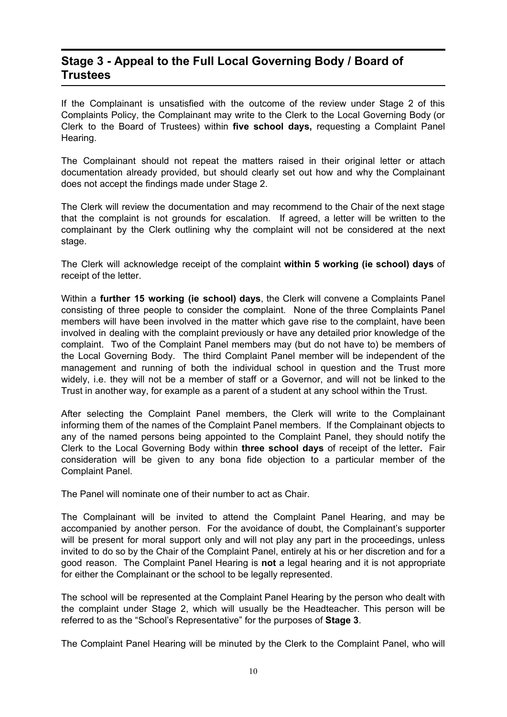### **Stage 3 - Appeal to the Full Local Governing Body / Board of Trustees**

If the Complainant is unsatisfied with the outcome of the review under Stage 2 of this Complaints Policy, the Complainant may write to the Clerk to the Local Governing Body (or Clerk to the Board of Trustees) within **five school days,** requesting a Complaint Panel Hearing.

The Complainant should not repeat the matters raised in their original letter or attach documentation already provided, but should clearly set out how and why the Complainant does not accept the findings made under Stage 2.

The Clerk will review the documentation and may recommend to the Chair of the next stage that the complaint is not grounds for escalation. If agreed, a letter will be written to the complainant by the Clerk outlining why the complaint will not be considered at the next stage.

The Clerk will acknowledge receipt of the complaint **within 5 working (ie school) days** of receipt of the letter.

Within a **further 15 working (ie school) days**, the Clerk will convene a Complaints Panel consisting of three people to consider the complaint. None of the three Complaints Panel members will have been involved in the matter which gave rise to the complaint, have been involved in dealing with the complaint previously or have any detailed prior knowledge of the complaint. Two of the Complaint Panel members may (but do not have to) be members of the Local Governing Body. The third Complaint Panel member will be independent of the management and running of both the individual school in question and the Trust more widely, i.e. they will not be a member of staff or a Governor, and will not be linked to the Trust in another way, for example as a parent of a student at any school within the Trust.

After selecting the Complaint Panel members, the Clerk will write to the Complainant informing them of the names of the Complaint Panel members. If the Complainant objects to any of the named persons being appointed to the Complaint Panel, they should notify the Clerk to the Local Governing Body within **three school days** of receipt of the letter**.** Fair consideration will be given to any bona fide objection to a particular member of the Complaint Panel.

The Panel will nominate one of their number to act as Chair.

The Complainant will be invited to attend the Complaint Panel Hearing, and may be accompanied by another person. For the avoidance of doubt, the Complainant's supporter will be present for moral support only and will not play any part in the proceedings, unless invited to do so by the Chair of the Complaint Panel, entirely at his or her discretion and for a good reason. The Complaint Panel Hearing is **not** a legal hearing and it is not appropriate for either the Complainant or the school to be legally represented.

The school will be represented at the Complaint Panel Hearing by the person who dealt with the complaint under Stage 2, which will usually be the Headteacher. This person will be referred to as the "School's Representative" for the purposes of **Stage 3**.

The Complaint Panel Hearing will be minuted by the Clerk to the Complaint Panel, who will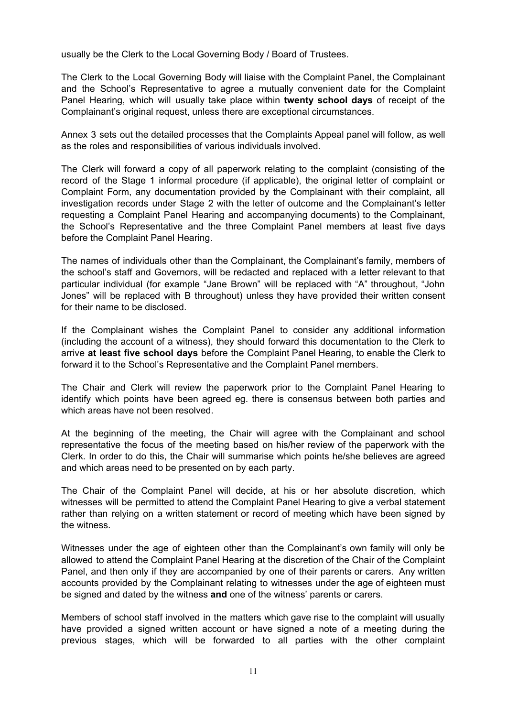usually be the Clerk to the Local Governing Body / Board of Trustees.

The Clerk to the Local Governing Body will liaise with the Complaint Panel, the Complainant and the School's Representative to agree a mutually convenient date for the Complaint Panel Hearing, which will usually take place within **twenty school days** of receipt of the Complainant's original request, unless there are exceptional circumstances.

Annex 3 sets out the detailed processes that the Complaints Appeal panel will follow, as well as the roles and responsibilities of various individuals involved.

The Clerk will forward a copy of all paperwork relating to the complaint (consisting of the record of the Stage 1 informal procedure (if applicable), the original letter of complaint or Complaint Form, any documentation provided by the Complainant with their complaint, all investigation records under Stage 2 with the letter of outcome and the Complainant's letter requesting a Complaint Panel Hearing and accompanying documents) to the Complainant, the School's Representative and the three Complaint Panel members at least five days before the Complaint Panel Hearing.

The names of individuals other than the Complainant, the Complainant's family, members of the school's staff and Governors, will be redacted and replaced with a letter relevant to that particular individual (for example "Jane Brown" will be replaced with "A" throughout, "John Jones" will be replaced with B throughout) unless they have provided their written consent for their name to be disclosed.

If the Complainant wishes the Complaint Panel to consider any additional information (including the account of a witness), they should forward this documentation to the Clerk to arrive **at least five school days** before the Complaint Panel Hearing, to enable the Clerk to forward it to the School's Representative and the Complaint Panel members.

The Chair and Clerk will review the paperwork prior to the Complaint Panel Hearing to identify which points have been agreed eg. there is consensus between both parties and which areas have not been resolved.

At the beginning of the meeting, the Chair will agree with the Complainant and school representative the focus of the meeting based on his/her review of the paperwork with the Clerk. In order to do this, the Chair will summarise which points he/she believes are agreed and which areas need to be presented on by each party.

The Chair of the Complaint Panel will decide, at his or her absolute discretion, which witnesses will be permitted to attend the Complaint Panel Hearing to give a verbal statement rather than relying on a written statement or record of meeting which have been signed by the witness.

Witnesses under the age of eighteen other than the Complainant's own family will only be allowed to attend the Complaint Panel Hearing at the discretion of the Chair of the Complaint Panel, and then only if they are accompanied by one of their parents or carers. Any written accounts provided by the Complainant relating to witnesses under the age of eighteen must be signed and dated by the witness **and** one of the witness' parents or carers.

Members of school staff involved in the matters which gave rise to the complaint will usually have provided a signed written account or have signed a note of a meeting during the previous stages, which will be forwarded to all parties with the other complaint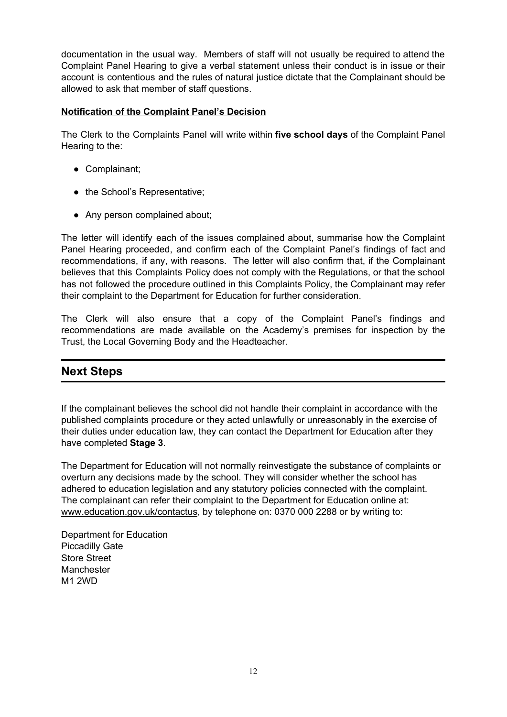documentation in the usual way. Members of staff will not usually be required to attend the Complaint Panel Hearing to give a verbal statement unless their conduct is in issue or their account is contentious and the rules of natural justice dictate that the Complainant should be allowed to ask that member of staff questions.

#### **Notification of the Complaint Panel's Decision**

The Clerk to the Complaints Panel will write within **five school days** of the Complaint Panel Hearing to the:

- Complainant;
- the School's Representative;
- Any person complained about;

The letter will identify each of the issues complained about, summarise how the Complaint Panel Hearing proceeded, and confirm each of the Complaint Panel's findings of fact and recommendations, if any, with reasons. The letter will also confirm that, if the Complainant believes that this Complaints Policy does not comply with the Regulations, or that the school has not followed the procedure outlined in this Complaints Policy, the Complainant may refer their complaint to the Department for Education for further consideration.

The Clerk will also ensure that a copy of the Complaint Panel's findings and recommendations are made available on the Academy's premises for inspection by the Trust, the Local Governing Body and the Headteacher.

### **Next Steps**

If the complainant believes the school did not handle their complaint in accordance with the published complaints procedure or they acted unlawfully or unreasonably in the exercise of their duties under education law, they can contact the Department for Education after they have completed **Stage 3**.

The Department for Education will not normally reinvestigate the substance of complaints or overturn any decisions made by the school. They will consider whether the school has adhered to education legislation and any statutory policies connected with the complaint. The complainant can refer their complaint to the Department for Education online at: [www.education.gov.uk/contactus](http://www.education.gov.uk/contactus), by telephone on: 0370 000 2288 or by writing to:

Department for Education Piccadilly Gate Store Street Manchester M1 2WD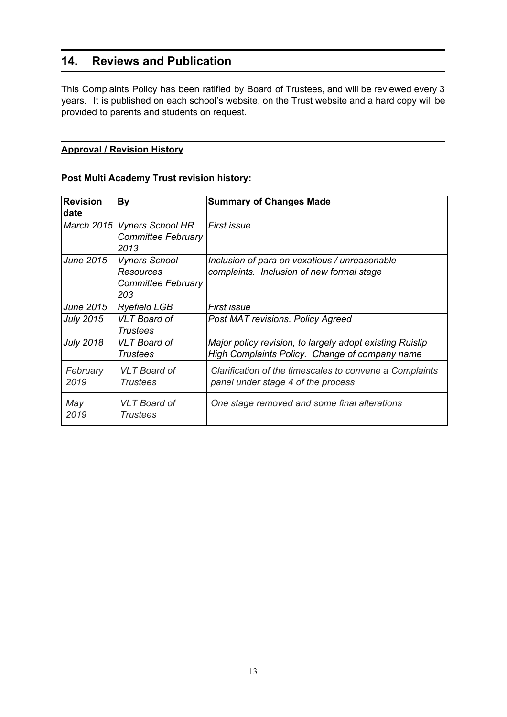### **14. Reviews and Publication**

This Complaints Policy has been ratified by Board of Trustees, and will be reviewed every 3 years. It is published on each school's website, on the Trust website and a hard copy will be provided to parents and students on request.

#### **Approval / Revision History**

#### **Post Multi Academy Trust revision history:**

| <b>Revision</b><br>date | By                                                             | <b>Summary of Changes Made</b>                                                                             |
|-------------------------|----------------------------------------------------------------|------------------------------------------------------------------------------------------------------------|
| March 2015              | <b>Vyners School HR</b><br><b>Committee February</b><br>2013   | First issue.                                                                                               |
| June 2015               | <b>Vyners School</b><br>Resources<br>Committee February<br>203 | Inclusion of para on vexatious / unreasonable<br>complaints. Inclusion of new formal stage                 |
| June 2015               | <b>Ryefield LGB</b>                                            | <b>First issue</b>                                                                                         |
| <b>July 2015</b>        | <b>VLT</b> Board of<br><b>Trustees</b>                         | Post MAT revisions. Policy Agreed                                                                          |
| <b>July 2018</b>        | <b>VLT</b> Board of<br><b>Trustees</b>                         | Major policy revision, to largely adopt existing Ruislip<br>High Complaints Policy. Change of company name |
| February<br>2019        | <b>VLT</b> Board of<br><b>Trustees</b>                         | Clarification of the timescales to convene a Complaints<br>panel under stage 4 of the process              |
| May<br>2019             | <b>VLT</b> Board of<br><b>Trustees</b>                         | One stage removed and some final alterations                                                               |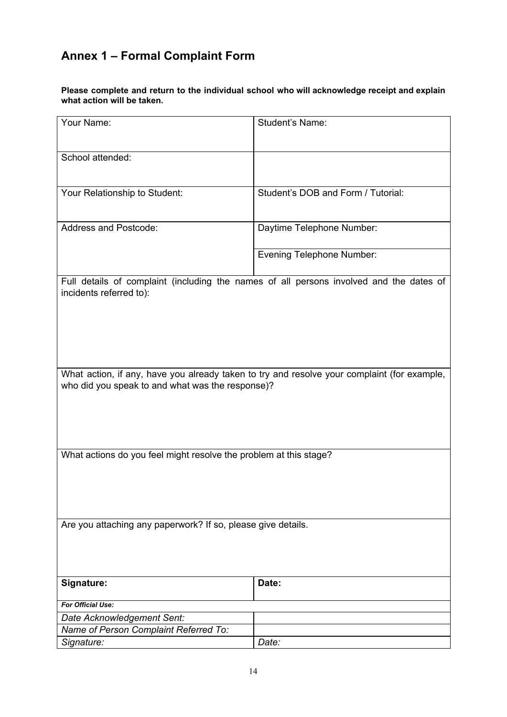# **Annex 1 – Formal Complaint Form**

**Please complete and return to the individual school who will acknowledge receipt and explain what action will be taken.**

| Your Name:                                                                                                                                      | Student's Name:                    |  |  |  |
|-------------------------------------------------------------------------------------------------------------------------------------------------|------------------------------------|--|--|--|
| School attended:                                                                                                                                |                                    |  |  |  |
| Your Relationship to Student:                                                                                                                   | Student's DOB and Form / Tutorial: |  |  |  |
| <b>Address and Postcode:</b>                                                                                                                    | Daytime Telephone Number:          |  |  |  |
|                                                                                                                                                 | <b>Evening Telephone Number:</b>   |  |  |  |
| Full details of complaint (including the names of all persons involved and the dates of<br>incidents referred to):                              |                                    |  |  |  |
| What action, if any, have you already taken to try and resolve your complaint (for example,<br>who did you speak to and what was the response)? |                                    |  |  |  |
| What actions do you feel might resolve the problem at this stage?                                                                               |                                    |  |  |  |
| Are you attaching any paperwork? If so, please give details.                                                                                    |                                    |  |  |  |
| Signature:                                                                                                                                      | Date:                              |  |  |  |
| For Official Use:                                                                                                                               |                                    |  |  |  |
| Date Acknowledgement Sent:                                                                                                                      |                                    |  |  |  |
| Name of Person Complaint Referred To:                                                                                                           |                                    |  |  |  |
| Signature:                                                                                                                                      | Date:                              |  |  |  |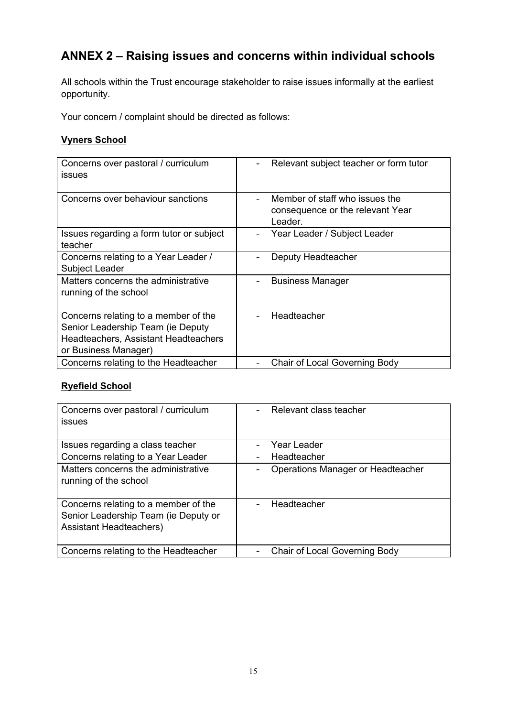# **ANNEX 2 – Raising issues and concerns within individual schools**

All schools within the Trust encourage stakeholder to raise issues informally at the earliest opportunity.

Your concern / complaint should be directed as follows:

#### **Vyners School**

| Concerns over pastoral / curriculum<br><i>issues</i>                                                                                      | Relevant subject teacher or form tutor                                        |
|-------------------------------------------------------------------------------------------------------------------------------------------|-------------------------------------------------------------------------------|
| Concerns over behaviour sanctions                                                                                                         | Member of staff who issues the<br>consequence or the relevant Year<br>Leader. |
| Issues regarding a form tutor or subject<br>teacher                                                                                       | Year Leader / Subject Leader                                                  |
| Concerns relating to a Year Leader /<br>Subject Leader                                                                                    | Deputy Headteacher                                                            |
| Matters concerns the administrative<br>running of the school                                                                              | <b>Business Manager</b>                                                       |
| Concerns relating to a member of the<br>Senior Leadership Team (ie Deputy<br>Headteachers, Assistant Headteachers<br>or Business Manager) | Headteacher                                                                   |
| Concerns relating to the Headteacher                                                                                                      | Chair of Local Governing Body                                                 |

### **Ryefield School**

| Concerns over pastoral / curriculum<br>issues                                                                  | Relevant class teacher               |
|----------------------------------------------------------------------------------------------------------------|--------------------------------------|
| Issues regarding a class teacher                                                                               | Year Leader                          |
| Concerns relating to a Year Leader                                                                             | Headteacher                          |
| Matters concerns the administrative<br>running of the school                                                   | Operations Manager or Headteacher    |
| Concerns relating to a member of the<br>Senior Leadership Team (ie Deputy or<br><b>Assistant Headteachers)</b> | Headteacher                          |
| Concerns relating to the Headteacher                                                                           | <b>Chair of Local Governing Body</b> |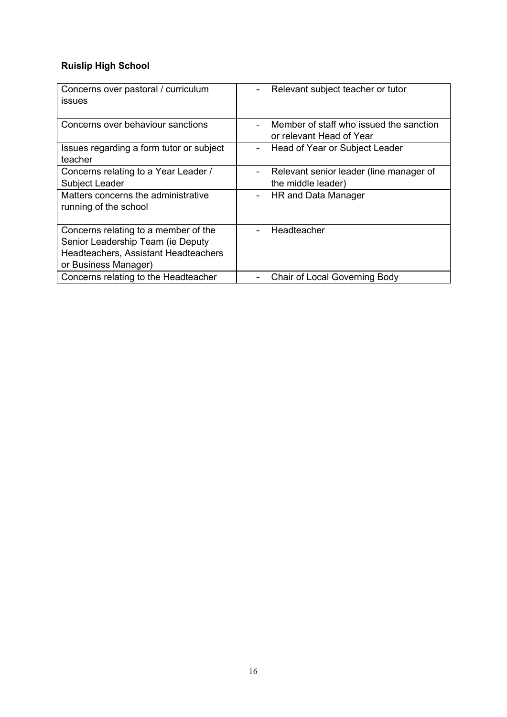#### **Ruislip High School**

| Concerns over pastoral / curriculum<br>issues | Relevant subject teacher or tutor       |
|-----------------------------------------------|-----------------------------------------|
|                                               |                                         |
| Concerns over behaviour sanctions             | Member of staff who issued the sanction |
|                                               | or relevant Head of Year                |
| Issues regarding a form tutor or subject      | Head of Year or Subject Leader          |
| teacher                                       |                                         |
| Concerns relating to a Year Leader /          | Relevant senior leader (line manager of |
| Subject Leader                                | the middle leader)                      |
| Matters concerns the administrative           | HR and Data Manager                     |
| running of the school                         |                                         |
|                                               |                                         |
| Concerns relating to a member of the          | Headteacher                             |
| Senior Leadership Team (ie Deputy             |                                         |
| Headteachers, Assistant Headteachers          |                                         |
| or Business Manager)                          |                                         |
| Concerns relating to the Headteacher          | Chair of Local Governing Body           |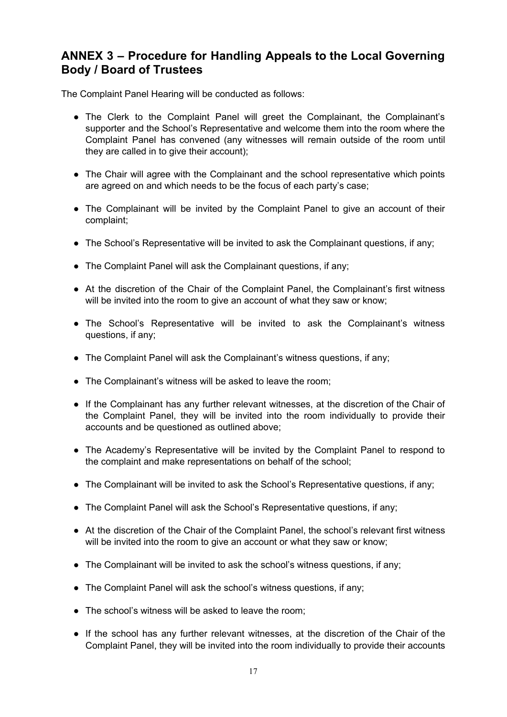### **ANNEX 3 – Procedure for Handling Appeals to the Local Governing Body / Board of Trustees**

The Complaint Panel Hearing will be conducted as follows:

- The Clerk to the Complaint Panel will greet the Complainant, the Complainant's supporter and the School's Representative and welcome them into the room where the Complaint Panel has convened (any witnesses will remain outside of the room until they are called in to give their account);
- The Chair will agree with the Complainant and the school representative which points are agreed on and which needs to be the focus of each party's case;
- The Complainant will be invited by the Complaint Panel to give an account of their complaint;
- The School's Representative will be invited to ask the Complainant questions, if any;
- The Complaint Panel will ask the Complainant questions, if any;
- At the discretion of the Chair of the Complaint Panel, the Complainant's first witness will be invited into the room to give an account of what they saw or know;
- The School's Representative will be invited to ask the Complainant's witness questions, if any;
- The Complaint Panel will ask the Complainant's witness questions, if any;
- The Complainant's witness will be asked to leave the room;
- If the Complainant has any further relevant witnesses, at the discretion of the Chair of the Complaint Panel, they will be invited into the room individually to provide their accounts and be questioned as outlined above;
- The Academy's Representative will be invited by the Complaint Panel to respond to the complaint and make representations on behalf of the school;
- The Complainant will be invited to ask the School's Representative questions, if any;
- The Complaint Panel will ask the School's Representative questions, if any;
- At the discretion of the Chair of the Complaint Panel, the school's relevant first witness will be invited into the room to give an account or what they saw or know;
- The Complainant will be invited to ask the school's witness questions, if any;
- The Complaint Panel will ask the school's witness questions, if any;
- The school's witness will be asked to leave the room;
- If the school has any further relevant witnesses, at the discretion of the Chair of the Complaint Panel, they will be invited into the room individually to provide their accounts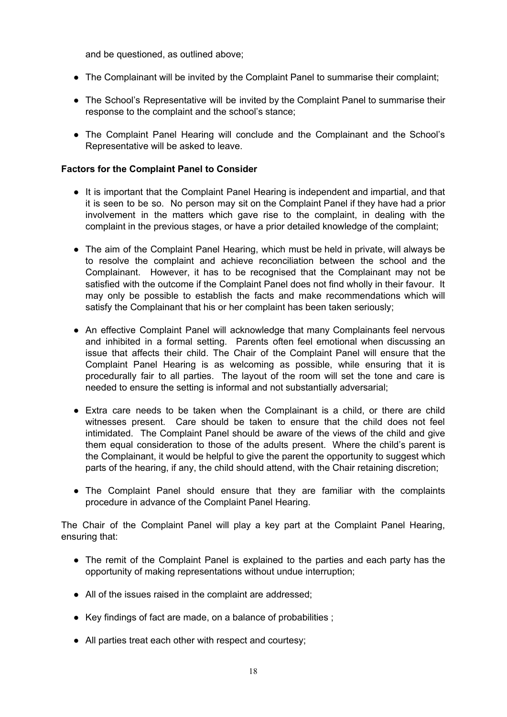and be questioned, as outlined above;

- The Complainant will be invited by the Complaint Panel to summarise their complaint;
- The School's Representative will be invited by the Complaint Panel to summarise their response to the complaint and the school's stance;
- The Complaint Panel Hearing will conclude and the Complainant and the School's Representative will be asked to leave.

#### **Factors for the Complaint Panel to Consider**

- It is important that the Complaint Panel Hearing is independent and impartial, and that it is seen to be so. No person may sit on the Complaint Panel if they have had a prior involvement in the matters which gave rise to the complaint, in dealing with the complaint in the previous stages, or have a prior detailed knowledge of the complaint;
- The aim of the Complaint Panel Hearing, which must be held in private, will always be to resolve the complaint and achieve reconciliation between the school and the Complainant. However, it has to be recognised that the Complainant may not be satisfied with the outcome if the Complaint Panel does not find wholly in their favour. It may only be possible to establish the facts and make recommendations which will satisfy the Complainant that his or her complaint has been taken seriously;
- An effective Complaint Panel will acknowledge that many Complainants feel nervous and inhibited in a formal setting. Parents often feel emotional when discussing an issue that affects their child. The Chair of the Complaint Panel will ensure that the Complaint Panel Hearing is as welcoming as possible, while ensuring that it is procedurally fair to all parties. The layout of the room will set the tone and care is needed to ensure the setting is informal and not substantially adversarial;
- Extra care needs to be taken when the Complainant is a child, or there are child witnesses present. Care should be taken to ensure that the child does not feel intimidated. The Complaint Panel should be aware of the views of the child and give them equal consideration to those of the adults present. Where the child's parent is the Complainant, it would be helpful to give the parent the opportunity to suggest which parts of the hearing, if any, the child should attend, with the Chair retaining discretion;
- The Complaint Panel should ensure that they are familiar with the complaints procedure in advance of the Complaint Panel Hearing.

The Chair of the Complaint Panel will play a key part at the Complaint Panel Hearing, ensuring that:

- The remit of the Complaint Panel is explained to the parties and each party has the opportunity of making representations without undue interruption;
- All of the issues raised in the complaint are addressed;
- Key findings of fact are made, on a balance of probabilities ;
- All parties treat each other with respect and courtesy;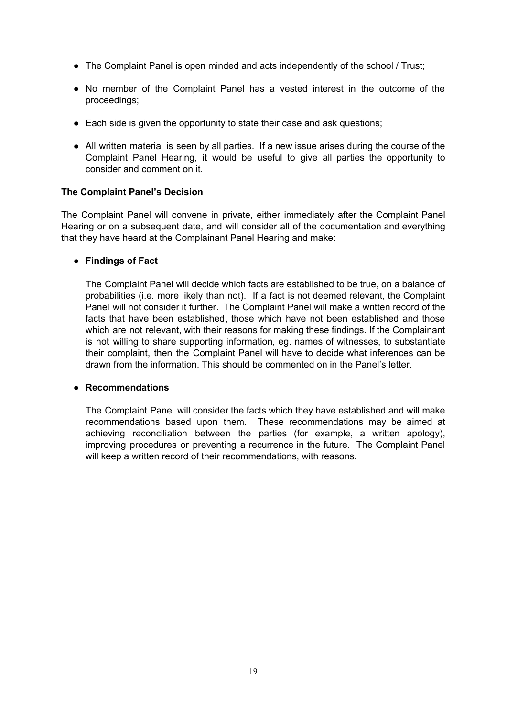- The Complaint Panel is open minded and acts independently of the school / Trust;
- No member of the Complaint Panel has a vested interest in the outcome of the proceedings;
- Each side is given the opportunity to state their case and ask questions;
- All written material is seen by all parties. If a new issue arises during the course of the Complaint Panel Hearing, it would be useful to give all parties the opportunity to consider and comment on it.

#### **The Complaint Panel's Decision**

The Complaint Panel will convene in private, either immediately after the Complaint Panel Hearing or on a subsequent date, and will consider all of the documentation and everything that they have heard at the Complainant Panel Hearing and make:

#### ● **Findings of Fact**

The Complaint Panel will decide which facts are established to be true, on a balance of probabilities (i.e. more likely than not). If a fact is not deemed relevant, the Complaint Panel will not consider it further. The Complaint Panel will make a written record of the facts that have been established, those which have not been established and those which are not relevant, with their reasons for making these findings. If the Complainant is not willing to share supporting information, eg. names of witnesses, to substantiate their complaint, then the Complaint Panel will have to decide what inferences can be drawn from the information. This should be commented on in the Panel's letter.

#### ● **Recommendations**

The Complaint Panel will consider the facts which they have established and will make recommendations based upon them. These recommendations may be aimed at achieving reconciliation between the parties (for example, a written apology), improving procedures or preventing a recurrence in the future. The Complaint Panel will keep a written record of their recommendations, with reasons.